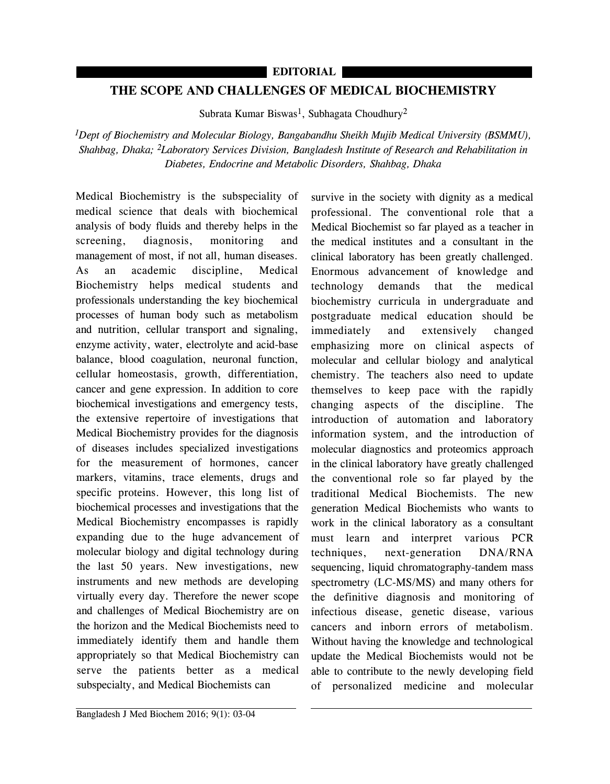## **EDITORIAL**

## **THE SCOPE AND CHALLENGES OF MEDICAL BIOCHEMISTRY**

Subrata Kumar Biswas<sup>1</sup>, Subhagata Choudhury<sup>2</sup>

*1Dept of Biochemistry and Molecular Biology, Bangabandhu Sheikh Mujib Medical University (BSMMU), Shahbag, Dhaka; 2Laboratory Services Division, Bangladesh Institute of Research and Rehabilitation in Diabetes, Endocrine and Metabolic Disorders, Shahbag, Dhaka*

Medical Biochemistry is the subspeciality of medical science that deals with biochemical analysis of body fluids and thereby helps in the screening, diagnosis, monitoring and management of most, if not all, human diseases. As an academic discipline, Medical Biochemistry helps medical students and professionals understanding the key biochemical processes of human body such as metabolism and nutrition, cellular transport and signaling, enzyme activity, water, electrolyte and acid-base balance, blood coagulation, neuronal function, cellular homeostasis, growth, differentiation, cancer and gene expression. In addition to core biochemical investigations and emergency tests, the extensive repertoire of investigations that Medical Biochemistry provides for the diagnosis of diseases includes specialized investigations for the measurement of hormones, cancer markers, vitamins, trace elements, drugs and specific proteins. However, this long list of biochemical processes and investigations that the Medical Biochemistry encompasses is rapidly expanding due to the huge advancement of molecular biology and digital technology during the last 50 years. New investigations, new instruments and new methods are developing virtually every day. Therefore the newer scope and challenges of Medical Biochemistry are on the horizon and the Medical Biochemists need to immediately identify them and handle them appropriately so that Medical Biochemistry can serve the patients better as a medical subspecialty, and Medical Biochemists can

survive in the society with dignity as a medical professional. The conventional role that a Medical Biochemist so far played as a teacher in the medical institutes and a consultant in the clinical laboratory has been greatly challenged. Enormous advancement of knowledge and technology demands that the medical biochemistry curricula in undergraduate and postgraduate medical education should be immediately and extensively changed emphasizing more on clinical aspects of molecular and cellular biology and analytical chemistry. The teachers also need to update themselves to keep pace with the rapidly changing aspects of the discipline. The introduction of automation and laboratory information system, and the introduction of molecular diagnostics and proteomics approach in the clinical laboratory have greatly challenged the conventional role so far played by the traditional Medical Biochemists. The new generation Medical Biochemists who wants to work in the clinical laboratory as a consultant must learn and interpret various PCR techniques, next-generation DNA/RNA sequencing, liquid chromatography-tandem mass spectrometry (LC-MS/MS) and many others for the definitive diagnosis and monitoring of infectious disease, genetic disease, various cancers and inborn errors of metabolism. Without having the knowledge and technological update the Medical Biochemists would not be able to contribute to the newly developing field of personalized medicine and molecular